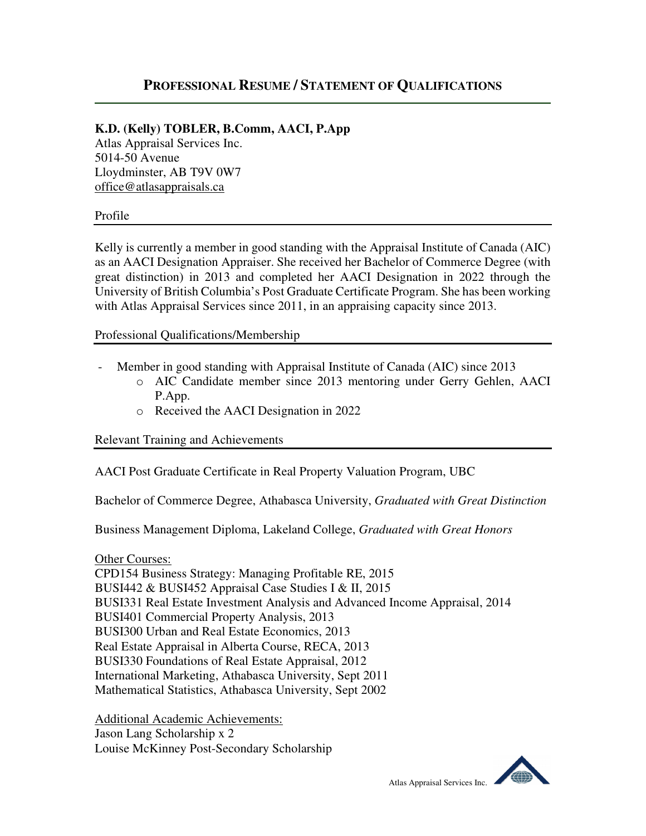## **PROFESSIONAL RESUME / STATEMENT OF QUALIFICATIONS**

## **K.D. (Kelly) TOBLER, B.Comm, AACI, P.App**

Atlas Appraisal Services Inc. 5014-50 Avenue Lloydminster, AB T9V 0W7 office@atlasappraisals.ca

## Profile

Kelly is currently a member in good standing with the Appraisal Institute of Canada (AIC) as an AACI Designation Appraiser. She received her Bachelor of Commerce Degree (with great distinction) in 2013 and completed her AACI Designation in 2022 through the University of British Columbia's Post Graduate Certificate Program. She has been working with Atlas Appraisal Services since 2011, in an appraising capacity since 2013.

Professional Qualifications/Membership

- Member in good standing with Appraisal Institute of Canada (AIC) since 2013
	- o AIC Candidate member since 2013 mentoring under Gerry Gehlen, AACI P.App.
	- o Received the AACI Designation in 2022

Relevant Training and Achievements

AACI Post Graduate Certificate in Real Property Valuation Program, UBC

Bachelor of Commerce Degree, Athabasca University, *Graduated with Great Distinction* 

Business Management Diploma, Lakeland College, *Graduated with Great Honors*

Other Courses:

CPD154 Business Strategy: Managing Profitable RE, 2015 BUSI442 & BUSI452 Appraisal Case Studies I & II, 2015 BUSI331 Real Estate Investment Analysis and Advanced Income Appraisal, 2014 BUSI401 Commercial Property Analysis, 2013 BUSI300 Urban and Real Estate Economics, 2013 Real Estate Appraisal in Alberta Course, RECA, 2013 BUSI330 Foundations of Real Estate Appraisal, 2012 International Marketing, Athabasca University, Sept 2011 Mathematical Statistics, Athabasca University, Sept 2002

Additional Academic Achievements: Jason Lang Scholarship x 2 Louise McKinney Post-Secondary Scholarship